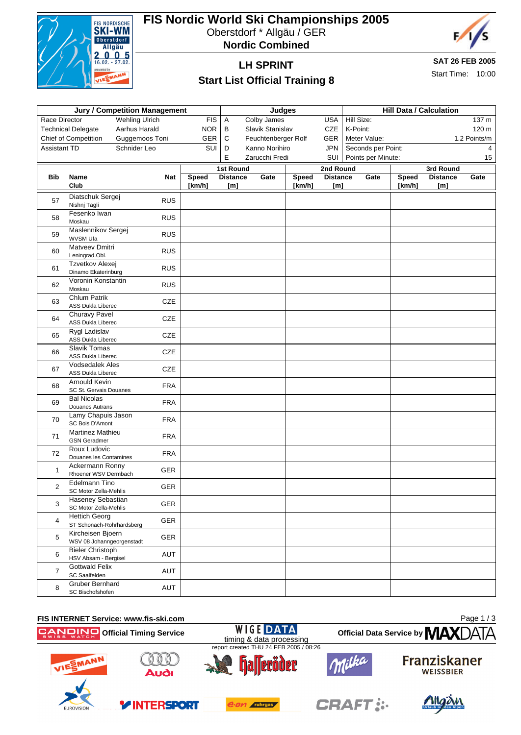

## **FIS Nordic World Ski Championships 2005** Oberstdorf \* Allgäu / GER

**Nordic Combined**



## **LH SPRINT**

# **SAT 26 FEB 2005**

### **Start List Official Training 8**

Start Time: 10:00

| <b>Jury / Competition Management</b> |                                                                             |                |              |                                     |                     |        | <b>Hill Data / Calculation</b> |                                          |                     |              |                              |              |
|--------------------------------------|-----------------------------------------------------------------------------|----------------|--------------|-------------------------------------|---------------------|--------|--------------------------------|------------------------------------------|---------------------|--------------|------------------------------|--------------|
| Wehling Ulrich<br>Race Director      |                                                                             |                | <b>FIS</b>   | Judges<br>A<br>Colby James          |                     |        | <b>USA</b>                     |                                          | Hill Size:<br>137 m |              |                              |              |
|                                      | <b>Technical Delegate</b>                                                   | Aarhus Harald  | <b>NOR</b>   | В                                   | Slavik Stanislav    |        | CZE                            | K-Point:                                 |                     |              |                              | 120 m        |
|                                      |                                                                             | Guggemoos Toni | <b>GER</b>   | $\mathsf C$                         | Feuchtenberger Rolf |        | GER                            | Meter Value:                             |                     |              |                              | 1.2 Points/m |
| Chief of Competition                 |                                                                             | Schnider Leo   | SUI          | D                                   | Kanno Norihiro      |        | <b>JPN</b>                     |                                          |                     |              |                              | 4            |
| <b>Assistant TD</b>                  |                                                                             |                |              | Ε                                   | Zarucchi Fredi      |        | SUI                            | Seconds per Point:<br>Points per Minute: |                     |              | 15                           |              |
|                                      |                                                                             |                |              |                                     |                     |        |                                |                                          |                     |              |                              |              |
| <b>Bib</b><br>Name<br>Club           |                                                                             | <b>Nat</b>     | <b>Speed</b> | <b>1st Round</b><br><b>Distance</b> | Gate                | Speed  | 2nd Round<br><b>Distance</b>   |                                          | Gate                | <b>Speed</b> | 3rd Round<br><b>Distance</b> | Gate         |
|                                      |                                                                             |                | [km/h]       | [m]                                 |                     | [km/h] | [m]                            |                                          |                     | [km/h]       | [m]                          |              |
|                                      | Diatschuk Sergej                                                            |                |              |                                     |                     |        |                                |                                          |                     |              |                              |              |
| 57                                   | Nishnj Tagli                                                                | <b>RUS</b>     |              |                                     |                     |        |                                |                                          |                     |              |                              |              |
| 58                                   | Fesenko Iwan<br>Moskau                                                      | <b>RUS</b>     |              |                                     |                     |        |                                |                                          |                     |              |                              |              |
| 59                                   | Maslennikov Sergej<br>WVSM Ufa                                              | <b>RUS</b>     |              |                                     |                     |        |                                |                                          |                     |              |                              |              |
| 60                                   | Matveev Dmitri<br>Leningrad.Obl.                                            | <b>RUS</b>     |              |                                     |                     |        |                                |                                          |                     |              |                              |              |
| 61                                   | Tzvetkov Alexej<br>Dinamo Ekaterinburg                                      | <b>RUS</b>     |              |                                     |                     |        |                                |                                          |                     |              |                              |              |
| 62                                   | Voronin Konstantin<br>Moskau                                                | <b>RUS</b>     |              |                                     |                     |        |                                |                                          |                     |              |                              |              |
| 63                                   | <b>Chlum Patrik</b><br><b>ASS Dukla Liberec</b>                             | <b>CZE</b>     |              |                                     |                     |        |                                |                                          |                     |              |                              |              |
| 64                                   | Churavy Pavel<br>ASS Dukla Liberec                                          | <b>CZE</b>     |              |                                     |                     |        |                                |                                          |                     |              |                              |              |
| 65                                   | Rygl Ladislav<br>ASS Dukla Liberec                                          | <b>CZE</b>     |              |                                     |                     |        |                                |                                          |                     |              |                              |              |
| 66                                   | Slavik Tomas<br><b>ASS Dukla Liberec</b>                                    | <b>CZE</b>     |              |                                     |                     |        |                                |                                          |                     |              |                              |              |
| 67                                   | <b>Vodsedalek Ales</b><br><b>ASS Dukla Liberec</b>                          | CZE            |              |                                     |                     |        |                                |                                          |                     |              |                              |              |
| 68                                   | Arnould Kevin<br>SC St. Gervais Douanes                                     | <b>FRA</b>     |              |                                     |                     |        |                                |                                          |                     |              |                              |              |
| 69                                   | <b>Bal Nicolas</b><br>Douanes Autrans                                       | <b>FRA</b>     |              |                                     |                     |        |                                |                                          |                     |              |                              |              |
| 70                                   | Lamy Chapuis Jason<br>SC Bois D'Amont                                       | <b>FRA</b>     |              |                                     |                     |        |                                |                                          |                     |              |                              |              |
| 71                                   | <b>Martinez Mathieu</b><br><b>GSN Geradmer</b>                              | <b>FRA</b>     |              |                                     |                     |        |                                |                                          |                     |              |                              |              |
| 72                                   | Roux Ludovic<br>Douanes les Contamines                                      | <b>FRA</b>     |              |                                     |                     |        |                                |                                          |                     |              |                              |              |
| $\mathbf{1}$                         | Ackermann Ronny<br>Rhoener WSV Dermbach                                     | GER            |              |                                     |                     |        |                                |                                          |                     |              |                              |              |
| $\overline{2}$                       | Edelmann Tino                                                               | GER            |              |                                     |                     |        |                                |                                          |                     |              |                              |              |
| 3                                    | SC Motor Zella-Mehlis<br>Haseney Sebastian<br>SC Motor Zella-Mehlis         | <b>GER</b>     |              |                                     |                     |        |                                |                                          |                     |              |                              |              |
| 4                                    | <b>Hettich Georg</b>                                                        | GER            |              |                                     |                     |        |                                |                                          |                     |              |                              |              |
| 5                                    | ST Schonach-Rohrhardsberg<br>Kircheisen Bjoern<br>WSV 08 Johanngeorgenstadt | GER            |              |                                     |                     |        |                                |                                          |                     |              |                              |              |
| 6                                    | <b>Bieler Christoph</b><br>HSV Absam - Bergisel                             | AUT            |              |                                     |                     |        |                                |                                          |                     |              |                              |              |
| $\overline{7}$                       | <b>Gottwald Felix</b><br>SC Saalfelden                                      | AUT            |              |                                     |                     |        |                                |                                          |                     |              |                              |              |
| 8                                    | Gruber Bernhard<br>SC Bischofshofen                                         | AUT            |              |                                     |                     |        |                                |                                          |                     |              |                              |              |

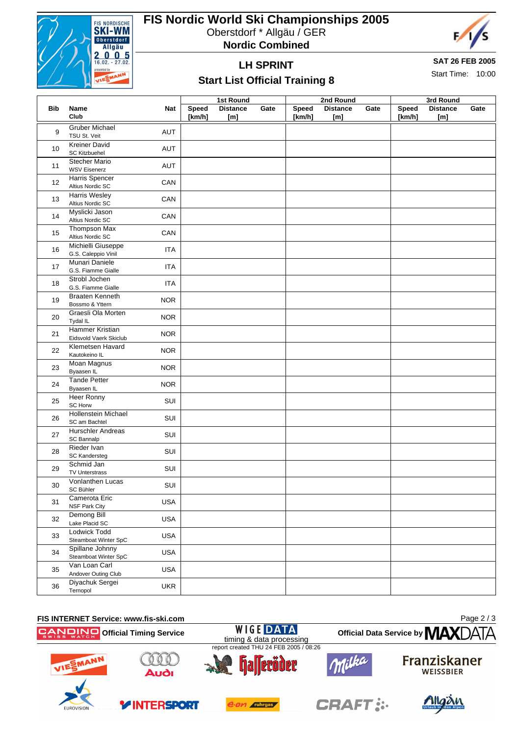

# **FIS Nordic World Ski Championships 2005**

Oberstdorf \* Allgäu / GER





## **LH SPRINT**

#### **SAT 26 FEB 2005**

Start Time: 10:00

### **Start List Official Training 8**

**Bib Name Club Nat 1st Round Speed Distance Gate [km/h] [m] 2nd Round Speed Distance Gate [km/h] [m] 3rd Round Speed Distance Gate [km/h] [m]** 9 Gruber Michael Gruber Michael<br>TSU St. Veit **AUT** 10 Kreiner David SC Kitzbuehel **AUT**<br>SC Kitzbuehel Stecher Mario Stecher Mario<br>WSV Eisenerz MSV AUT 12 Harris Spencer Harris Spericer<br>Altius Nordic SC CAN 13 Harris Wesley **Harris Wesley CAN**<br>Altius Nordic SC **CAN** 14 Myslicki Jason MySIICKI JASON<br>Altius Nordic SC CAN <sup>15</sup> Thompson Max Thompson Max<br>Altius Nordic SC CAN <sup>16</sup> Michielli Giuseppe Michielli Giuseppe<br>G.S. Caleppio Vinil **ITA** 17 Munari Daniele Muriari Darijeje<br>G.S. Fiamme Gialle **ITA** 18 Strobl Jochen Stroph Jochen<br>G.S. Fiamme Gialle **ITA** 19 Braaten Kenneth Braaten Kenneth<br>Bossmo & Yttern NOR 20 Graesli Ola Morten Graesii Ola Morten<br>Tydal IL 21 Hammer Kristian Hammer Kristian<br>Eidsvold Vaerk Skiclub NOR 22 Klemetsen Havard Kiemeisen Havard<br>Kautokeino IL 23 Moan Magnus Moan Magnus<br>Byaasen IL 24 Tande Petter Tariue Petter<br>Byaasen IL 25 Heer Ronny SC Horw SUI <sup>26</sup> Hollenstein Michael SC am Bachtel Wilchael SUI 27 Hurschler Andreas Hurschief Andreas<br>SC Bannalp 28 Rieder Ivan SC Kandersteg **SUI**<br>SC Kandersteg <sup>29</sup> Schmid Jan SUITV Unterstrass SUI <sup>30</sup> Vonlanthen Lucas vonlantnen Lucas<br>SC Bühler SUI <sup>31</sup> Camerota Eric Camerota Eric<br>NSF Park City 32 Demong Bill Lake Placid SC USA <sup>33</sup> Lodwick Todd EUGWICK TOOD<br>Steamboat Winter SpC USA 34 Spillane Johnny Steamboat Winter SpC USA <sup>35</sup> Van Loan Carl van Loan Can<br>Andover Outing Club USA <sup>36</sup> Diyachuk Sergei Diyachuk Sergel<br>Ternopol